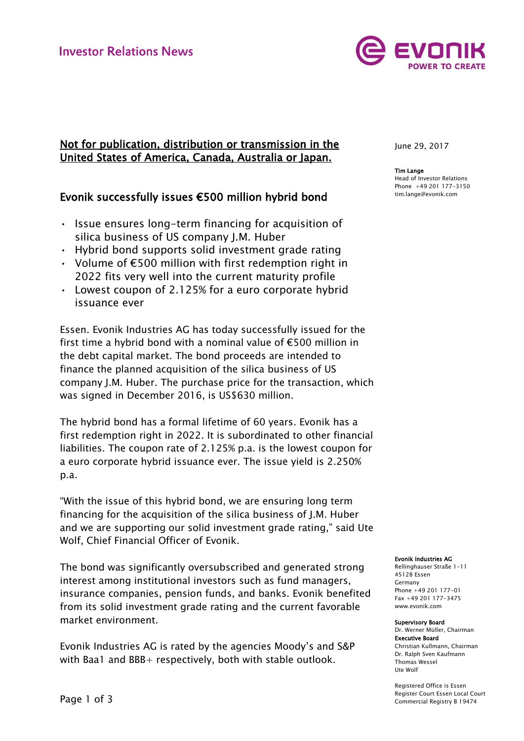

## Not for publication, distribution or transmission in the United States of America, Canada, Australia or Japan.

## Evonik successfully issues €500 million hybrid bond

- Issue ensures long-term financing for acquisition of silica business of US company J.M. Huber
- Hybrid bond supports solid investment grade rating
- Volume of  $\epsilon$ 500 million with first redemption right in 2022 fits very well into the current maturity profile
- Lowest coupon of 2.125% for a euro corporate hybrid issuance ever

Essen. Evonik Industries AG has today successfully issued for the first time a hybrid bond with a nominal value of €500 million in the debt capital market. The bond proceeds are intended to finance the planned acquisition of the silica business of US company J.M. Huber. The purchase price for the transaction, which was signed in December 2016, is US\$630 million.

The hybrid bond has a formal lifetime of 60 years. Evonik has a first redemption right in 2022. It is subordinated to other financial liabilities. The coupon rate of 2.125% p.a. is the lowest coupon for a euro corporate hybrid issuance ever. The issue yield is 2.250% p.a.

"With the issue of this hybrid bond, we are ensuring long term financing for the acquisition of the silica business of J.M. Huber and we are supporting our solid investment grade rating," said Ute Wolf, Chief Financial Officer of Evonik.

The bond was significantly oversubscribed and generated strong interest among institutional investors such as fund managers, insurance companies, pension funds, and banks. Evonik benefited from its solid investment grade rating and the current favorable market environment.

Evonik Industries AG is rated by the agencies Moody's and S&P with Baa1 and BBB+ respectively, both with stable outlook.

June 29, 2017

Tim Lange Head of Investor Relations Phone +49 201 177-3150 tim.lange@evonik.com

Evonik Industries AG

Rellinghauser Straße 1-11 45128 Essen Germany Phone +49 201 177-01 Fax +49 201 177-3475 www.evonik.com

Supervisory Board Dr. Werner Müller, Chairman Executive Board Christian Kullmann, Chairman Dr. Ralph Sven Kaufmann Thomas Wessel Ute Wolf

Registered Office is Essen Register Court Essen Local Court Commercial Registry B 19474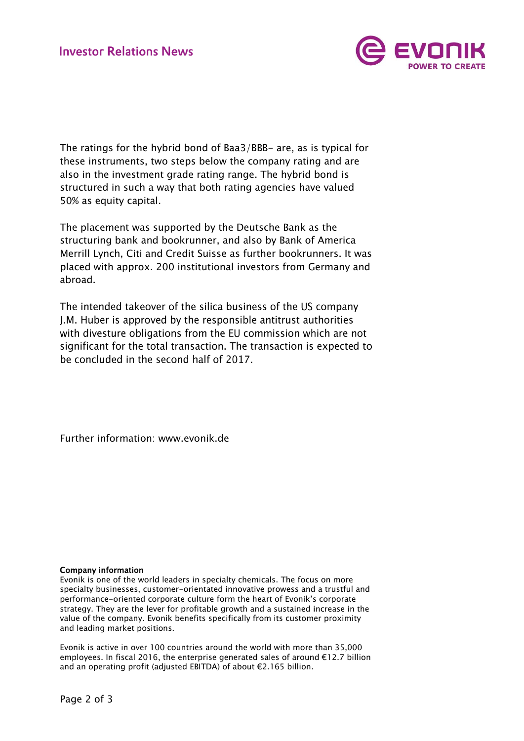

The ratings for the hybrid bond of Baa3/BBB- are, as is typical for these instruments, two steps below the company rating and are also in the investment grade rating range. The hybrid bond is structured in such a way that both rating agencies have valued 50% as equity capital.

The placement was supported by the Deutsche Bank as the structuring bank and bookrunner, and also by Bank of America Merrill Lynch, Citi and Credit Suisse as further bookrunners. It was placed with approx. 200 institutional investors from Germany and abroad.

The intended takeover of the silica business of the US company J.M. Huber is approved by the responsible antitrust authorities with divesture obligations from the EU commission which are not significant for the total transaction. The transaction is expected to be concluded in the second half of 2017.

Further information: [www.evonik.de](http://www.evonik.de/)

## Company information

Evonik is one of the world leaders in specialty chemicals. The focus on more specialty businesses, customer-orientated innovative prowess and a trustful and performance-oriented corporate culture form the heart of Evonik's corporate strategy. They are the lever for profitable growth and a sustained increase in the value of the company. Evonik benefits specifically from its customer proximity and leading market positions.

Evonik is active in over 100 countries around the world with more than 35,000 employees. In fiscal 2016, the enterprise generated sales of around €12.7 billion and an operating profit (adjusted EBITDA) of about €2.165 billion.